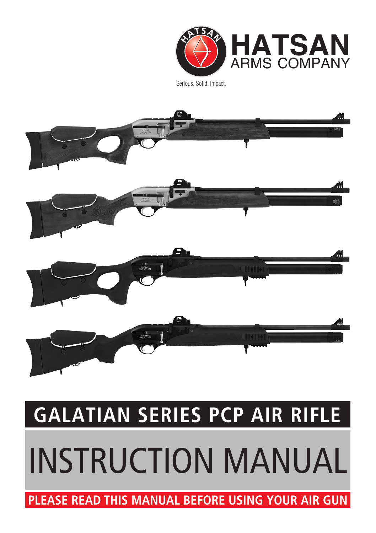# **PLEASE READ THIS MANUAL BEFORE USING YOUR AIR GUN**

# INSTRUCTION MANUAL

# **GALATIAN SERIES PCP AIR RIFLE**



**HATSAN** ARMS COMPA Serious. Solid. Impact.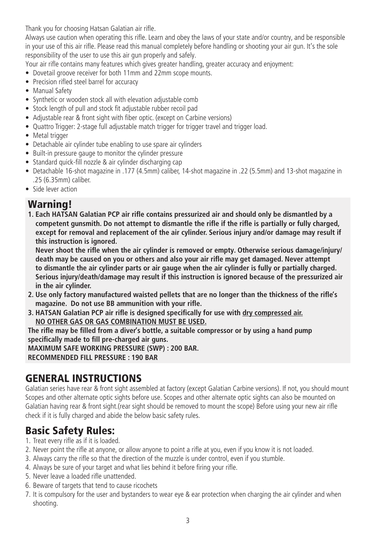Thank you for choosing Hatsan Galatian air rifle.

Always use caution when operating this rifle. Learn and obey the laws of your state and/or country, and be responsible in your use of this air rifle. Please read this manual completely before handling or shooting your air gun. It's the sole responsibility of the user to use this air gun properly and safely.

Your air rifle contains many features which gives greater handling, greater accuracy and enjoyment:

- Dovetail groove receiver for both 11mm and 22mm scope mounts.
- Precision rifled steel barrel for accuracy
- Manual Safety
- Synthetic or wooden stock all with elevation adjustable comb
- Stock length of pull and stock fit adjustable rubber recoil pad
- Adjustable rear & front sight with fiber optic. (except on Carbine versions)
- Quattro Trigger: 2-stage full adjustable match trigger for trigger travel and trigger load.
- Metal trigger
- Detachable air cylinder tube enabling to use spare air cylinders
- Built-in pressure gauge to monitor the cylinder pressure
- Standard quick-fill nozzle & air cylinder discharging cap
- Detachable 16-shot magazine in .177 (4.5mm) caliber, 14-shot magazine in .22 (5.5mm) and 13-shot magazine in .25 (6.35mm) caliber.
- Side lever action

#### Warning!

**1. Each HATSAN Galatian PCP air rifle contains pressurized air and should only be dismantled by a competent gunsmith. Do not attempt to dismantle the rifle if the rifle is partially or fully charged, except for removal and replacement of the air cylinder. Serious injury and/or damage may result if this instruction is ignored.** 

**Never shoot the rifle when the air cylinder is removed or empty. Otherwise serious damage/injury/ death may be caused on you or others and also your air rifle may get damaged. Never attempt to dismantle the air cylinder parts or air gauge when the air cylinder is fully or partially charged. Serious injury/death/damage may result if this instruction is ignored because of the pressurized air in the air cylinder.**

- **2. Use only factory manufactured waisted pellets that are no longer than the thickness of the rifle's magazine. Do not use BB ammunition with your rifle.**
- **3. HATSAN Galatian PCP air rifle is designed specifically for use with dry compressed air. NO OTHER GAS OR GAS COMBINATION MUST BE USED.**

**The rifle may be filled from a diver's bottle, a suitable compressor or by using a hand pump specifically made to fill pre-charged air guns.**

**MAXIMUM SAFE WORKING PRESSURE (SWP) : 200 BAR. RECOMMENDED FILL PRESSURE : 190 BAR**

#### GENERAL INSTRUCTIONS

Galatian series have rear & front sight assembled at factory (except Galatian Carbine versions). If not, you should mount Scopes and other alternate optic sights before use. Scopes and other alternate optic sights can also be mounted on Galatian having rear & front sight.(rear sight should be removed to mount the scope) Before using your new air rifle check if it is fully charged and abide the below basic safety rules.

#### Basic Safety Rules:

- 1. Treat every rifle as if it is loaded.
- 2. Never point the rifle at anyone, or allow anyone to point a rifle at you, even if you know it is not loaded.
- 3. Always carry the rifle so that the direction of the muzzle is under control, even if you stumble.
- 4. Always be sure of your target and what lies behind it before firing your rifle.
- 5. Never leave a loaded rifle unattended.
- 6. Beware of targets that tend to cause ricochets
- 7. It is compulsory for the user and bystanders to wear eye & ear protection when charging the air cylinder and when shooting.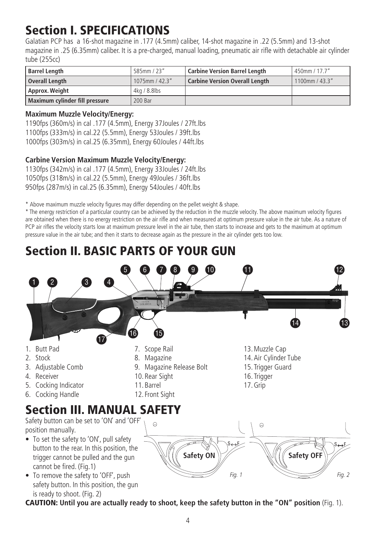# Section I. SPECIFICATIONS

Galatian PCP has a 16-shot magazine in .177 (4.5mm) caliber, 14-shot magazine in .22 (5.5mm) and 13-shot magazine in .25 (6.35mm) caliber. It is a pre-charged, manual loading, pneumatic air rifle with detachable air cylinder tube (255cc)

| <b>Barrel Length</b>           | 585mm / 23"        | <b>Carbine Version Barrel Length</b>  | $'$ 450mm / 17.7" |
|--------------------------------|--------------------|---------------------------------------|-------------------|
| Overall Length                 | $'$ 1075mm / 42.3" | <b>Carbine Version Overall Length</b> | $1100$ mm / 43.3" |
| Approx. Weight                 | 4kg / 8.8lbs       |                                       |                   |
| Maximum cylinder fill pressure | 200 Bar            |                                       |                   |

#### **Maximum Muzzle Velocity/Energy:**

safety button. In this position, the gun

1190fps (360m/s) in cal .177 (4.5mm), Energy 37Joules / 27ft.lbs 1100fps (333m/s) in cal.22 (5.5mm), Energy 53Joules / 39ft.lbs 1000fps (303m/s) in cal.25 (6.35mm), Energy 60Joules / 44ft.lbs

#### **Carbine Version Maximum Muzzle Velocity/Energy:**

1130fps (342m/s) in cal .177 (4.5mm), Energy 33Joules / 24ft.lbs 1050fps (318m/s) in cal.22 (5.5mm), Energy 49Joules / 36ft.lbs 950fps (287m/s) in cal.25 (6.35mm), Energy 54Joules / 40ft.lbs

\* Above maximum muzzle velocity figures may differ depending on the pellet weight & shape.

\* The energy restriction of a particular country can be achieved by the reduction in the muzzle velocity. The above maximum velocity figures are obtained when there is no energy restriction on the air rifle and when measured at optimum pressure value in the air tube. As a nature of PCP air rifles the velocity starts low at maximum pressure level in the air tube, then starts to increase and gets to the maximum at optimum pressure value in the air tube; and then it starts to decrease again as the pressure in the air cylinder gets too low.

# Section II. BASIC PARTS OF YOUR GUN



is ready to shoot. (Fig. 2) CAUTION: **Until you are actually ready to shoot, keep the safety button in the "ON" position** (Fig. 1).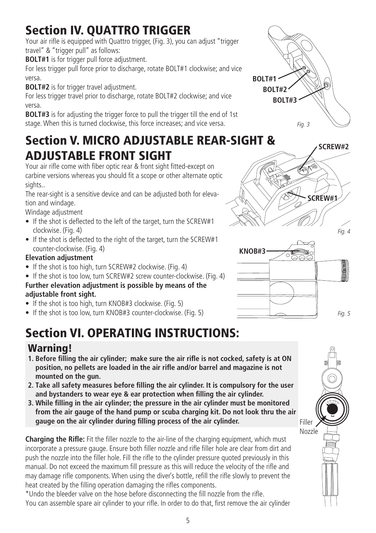# Section IV. QUATTRO TRIGGER

Your air rifle is equipped with Quattro trigger, (Fig. 3), you can adjust "trigger travel" & "trigger pull" as follows:

**BOLT#1** is for trigger pull force adjustment.

For less trigger pull force prior to discharge, rotate BOLT#1 clockwise; and vice versa.

**BOLT#2** is for trigger travel adjustment.

For less trigger travel prior to discharge, rotate BOLT#2 clockwise; and vice versa.

**BOLT#3** is for adjusting the trigger force to pull the trigger till the end of 1st stage. When this is turned clockwise, this force increases; and vice versa. *Fig. 3*

## Section V. MICRO ADJUSTABLE REAR-SIGHT & ADJUSTABLE FRONT SIGHT

Your air rifle come with fiber optic rear & front sight fitted-except on carbine versions whereas you should fit a scope or other alternate optic sights..

The rear-sight is a sensitive device and can be adjusted both for elevation and windage.

Windage adjustment

- If the shot is deflected to the left of the target, turn the SCREW#1 clockwise. (Fig. 4)
- If the shot is deflected to the right of the target, turn the SCREW#1 counter-clockwise. (Fig. 4)

#### **Elevation adjustment**

- If the shot is too high, turn SCREW#2 clockwise. (Fig. 4)
- If the shot is too low, turn SCREW#2 screw counter-clockwise. (Fig. 4) **Further elevation adjustment is possible by means of the adjustable front sight.**
- If the shot is too high, turn KNOB#3 clockwise. (Fig. 5)
- If the shot is too low, turn KNOB#3 counter-clockwise. (Fig. 5) *Fig. 5*

# Section VI. OPERATING INSTRUCTIONS:

### Warning!

- **1. Before filling the air cylinder; make sure the air rifle is not cocked, safety is at ON position, no pellets are loaded in the air rifle and/or barrel and magazine is not mounted on the gun.**
- **2. Take all safety measures before filling the air cylinder. It is compulsory for the user and bystanders to wear eye & ear protection when filling the air cylinder.**
- **3. While filling in the air cylinder; the pressure in the air cylinder must be monitored from the air gauge of the hand pump or scuba charging kit. Do not look thru the air gauge on the air cylinder during filling process of the air cylinder.**

**Charging the Rifle:** Fit the filler nozzle to the air-line of the charging equipment, which must incorporate a pressure gauge. Ensure both filler nozzle and rifle filler hole are clear from dirt and push the nozzle into the filler hole. Fill the rifle to the cylinder pressure quoted previously in this manual. Do not exceed the maximum fill pressure as this will reduce the velocity of the rifle and may damage rifle components. When using the diver's bottle, refill the rifle slowly to prevent the heat created by the filling operation damaging the rifles components.

\*Undo the bleeder valve on the hose before disconnecting the fill nozzle from the rifle. You can assemble spare air cylinder to your rifle. In order to do that, first remove the air cylinder







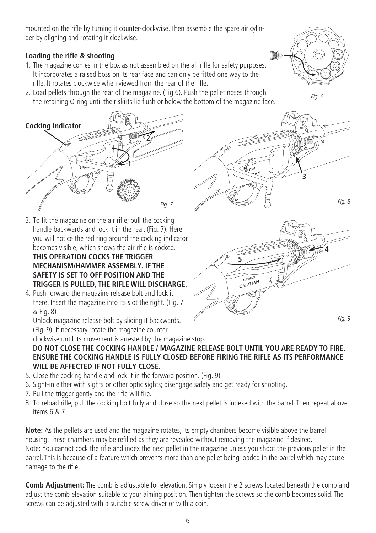mounted on the rifle by turning it counter-clockwise. Then assemble the spare air cylinder by aligning and rotating it clockwise.

#### **Loading the rifle & shooting**

- 1. The magazine comes in the box as not assembled on the air rifle for safety purposes. It incorporates a raised boss on its rear face and can only be fitted one way to the rifle. It rotates clockwise when viewed from the rear of the rifle.
- 2. Load pellets through the rear of the magazine. (Fig.6). Push the pellet noses through the retaining O-ring until their skirts lie flush or below the bottom of the magazine face.



*Fig. 6*



- 3. To fit the magazine on the air rifle; pull the cocking handle backwards and lock it in the rear. (Fig. 7). Here you will notice the red ring around the cocking indicator becomes visible, which shows the air rifle is cocked. **THIS OPERATION COCKS THE TRIGGER MECHANISM/HAMMER ASSEMBLY. IF THE SAFETY IS SET TO OFF POSITION AND THE TRIGGER IS PULLED, THE RIFLE WILL DISCHARGE.**
- 4. Push forward the magazine release bolt and lock it there. Insert the magazine into its slot the right. (Fig. 7) & Fig. 8)

Unlock magazine release bolt by sliding it backwards. (Fig. 9). If necessary rotate the magazine counter-





clockwise until its movement is arrested by the magazine stop. **DO NOT CLOSE THE COCKING HANDLE / MAGAZINE RELEASE BOLT UNTIL YOU ARE READY TO FIRE.** 

**ENSURE THE COCKING HANDLE IS FULLY CLOSED BEFORE FIRING THE RIFLE AS ITS PERFORMANCE WILL BE AFFECTED IF NOT FULLY CLOSE.**

- 5. Close the cocking handle and lock it in the forward position. (Fig. 9)
- 6. Sight-in either with sights or other optic sights; disengage safety and get ready for shooting.
- 7. Pull the trigger gently and the rifle will fire.
- 8. To reload rifle, pull the cocking bolt fully and close so the next pellet is indexed with the barrel. Then repeat above items 6 & 7.

**Note:** As the pellets are used and the magazine rotates, its empty chambers become visible above the barrel housing. These chambers may be refilled as they are revealed without removing the magazine if desired. Note: You cannot cock the rifle and index the next pellet in the magazine unless you shoot the previous pellet in the barrel. This is because of a feature which prevents more than one pellet being loaded in the barrel which may cause damage to the rifle.

**Comb Adjustment:** The comb is adjustable for elevation. Simply loosen the 2 screws located beneath the comb and adjust the comb elevation suitable to your aiming position. Then tighten the screws so the comb becomes solid. The screws can be adjusted with a suitable screw driver or with a coin.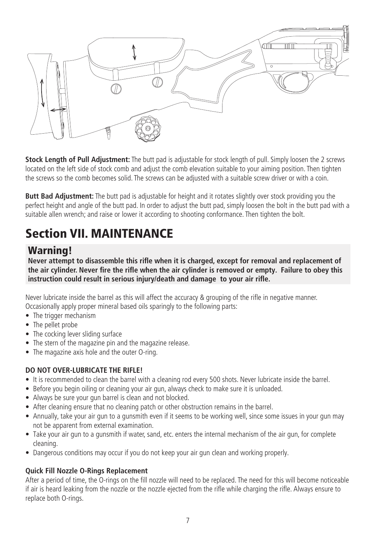

**Stock Length of Pull Adjustment:** The butt pad is adjustable for stock length of pull. Simply loosen the 2 screws located on the left side of stock comb and adjust the comb elevation suitable to your aiming position. Then tighten the screws so the comb becomes solid. The screws can be adjusted with a suitable screw driver or with a coin.

**Butt Bad Adjustment:** The butt pad is adjustable for height and it rotates slightly over stock providing you the perfect height and angle of the butt pad. In order to adjust the butt pad, simply loosen the bolt in the butt pad with a suitable allen wrench; and raise or lower it according to shooting conformance. Then tighten the bolt.

# Section VII. MAINTENANCE

#### Warning!

**Never attempt to disassemble this rifle when it is charged, except for removal and replacement of the air cylinder. Never fire the rifle when the air cylinder is removed or empty. Failure to obey this instruction could result in serious injury/death and damage to your air rifle.**

Never lubricate inside the barrel as this will affect the accuracy & grouping of the rifle in negative manner. Occasionally apply proper mineral based oils sparingly to the following parts:

- The trigger mechanism
- The pellet probe
- The cocking lever sliding surface
- The stern of the magazine pin and the magazine release.
- The magazine axis hole and the outer O-ring.

#### **DO NOT OVER-LUBRICATE THE RIFLE!**

- It is recommended to clean the barrel with a cleaning rod every 500 shots. Never lubricate inside the barrel.
- Before you begin oiling or cleaning your air gun, always check to make sure it is unloaded.
- Always be sure your gun barrel is clean and not blocked.
- After cleaning ensure that no cleaning patch or other obstruction remains in the barrel.
- Annually, take your air gun to a gunsmith even if it seems to be working well, since some issues in your gun may not be apparent from external examination.
- Take your air gun to a gunsmith if water, sand, etc. enters the internal mechanism of the air gun, for complete cleaning.
- Dangerous conditions may occur if you do not keep your air gun clean and working properly.

#### **Quick Fill Nozzle O-Rings Replacement**

After a period of time, the O-rings on the fill nozzle will need to be replaced. The need for this will become noticeable if air is heard leaking from the nozzle or the nozzle ejected from the rifle while charging the rifle. Always ensure to replace both O-rings.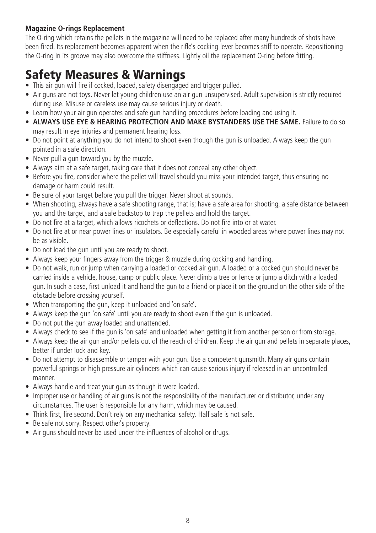#### **Magazine O-rings Replacement**

The O-ring which retains the pellets in the magazine will need to be replaced after many hundreds of shots have been fired. Its replacement becomes apparent when the rifle's cocking lever becomes stiff to operate. Repositioning the O-ring in its groove may also overcome the stiffness. Lightly oil the replacement O-ring before fitting.

# Safety Measures & Warnings

- This air gun will fire if cocked, loaded, safety disengaged and trigger pulled.
- Air guns are not toys. Never let young children use an air gun unsupervised. Adult supervision is strictly required during use. Misuse or careless use may cause serious injury or death.
- Learn how your air gun operates and safe gun handling procedures before loading and using it.
- **• ALWAYS USE EYE & HEARING PROTECTION AND MAKE BYSTANDERS USE THE SAME.** Failure to do so may result in eye injuries and permanent hearing loss.
- Do not point at anything you do not intend to shoot even though the gun is unloaded. Always keep the gun pointed in a safe direction.
- Never pull a gun toward you by the muzzle.
- Always aim at a safe target, taking care that it does not conceal any other object.
- Before you fire, consider where the pellet will travel should you miss your intended target, thus ensuring no damage or harm could result.
- Be sure of your target before you pull the trigger. Never shoot at sounds.
- When shooting, always have a safe shooting range, that is; have a safe area for shooting, a safe distance between you and the target, and a safe backstop to trap the pellets and hold the target.
- Do not fire at a target, which allows ricochets or deflections. Do not fire into or at water.
- • Do not fire at or near power lines or insulators. Be especially careful in wooded areas where power lines may not be as visible.
- Do not load the gun until you are ready to shoot.
- Always keep your fingers away from the trigger & muzzle during cocking and handling.
- • Do not walk, run or jump when carrying a loaded or cocked air gun. A loaded or a cocked gun should never be carried inside a vehicle, house, camp or public place. Never climb a tree or fence or jump a ditch with a loaded gun. In such a case, first unload it and hand the gun to a friend or place it on the ground on the other side of the obstacle before crossing yourself.
- When transporting the gun, keep it unloaded and 'on safe'.
- Always keep the gun 'on safe' until you are ready to shoot even if the gun is unloaded.
- Do not put the gun away loaded and unattended.
- Always check to see if the gun is 'on safe' and unloaded when getting it from another person or from storage.
- Always keep the air gun and/or pellets out of the reach of children. Keep the air gun and pellets in separate places. better if under lock and key.
- Do not attempt to disassemble or tamper with your gun. Use a competent gunsmith. Many air guns contain powerful springs or high pressure air cylinders which can cause serious injury if released in an uncontrolled manner.
- Always handle and treat your gun as though it were loaded.
- • Improper use or handling of air guns is not the responsibility of the manufacturer or distributor, under any circumstances. The user is responsible for any harm, which may be caused.
- Think first, fire second. Don't rely on any mechanical safety. Half safe is not safe.
- Be safe not sorry. Respect other's property.
- Air guns should never be used under the influences of alcohol or drugs.